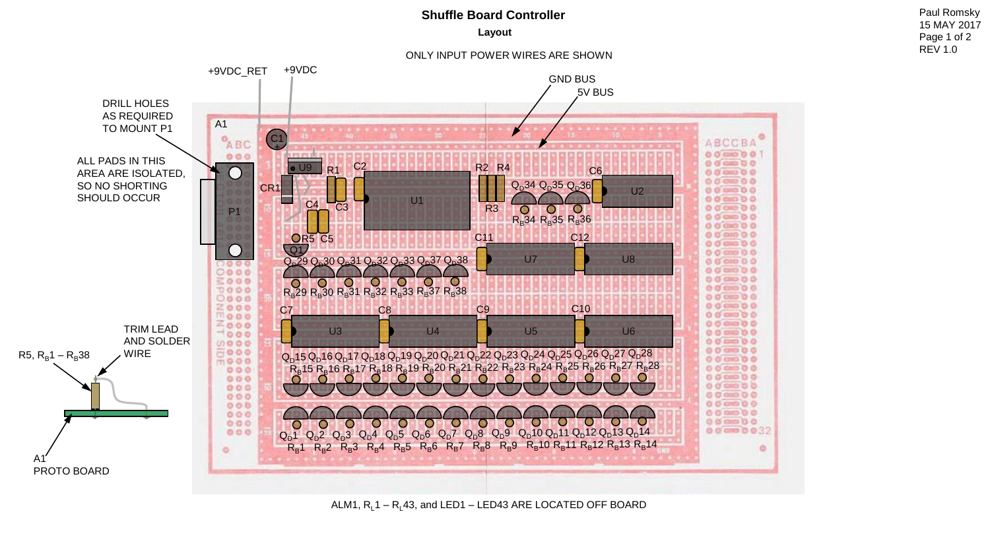## **Shuffle Board Controller Paul Romsky Paul Romsky**

**Layout**

ONLY INPUT POWER WIRES ARE SHOWN

+9VDC\_RET +9VDC GND BUS 5V BUS DRILL HOLES AS REQUIRED A1 TO MOUNT P1 ABCCBA  $^{\circ}$ ABC  $\frac{C_1}{+}$  $00000001$  $000$ ALL PADS IN THIS  $0000000$  $\overline{O}$ U9 C2 PH R2 R4 PH C6 R1  $0.0000000$ AREA ARE ISOLATED,  $00000000$ SO NO SHORTING Q<sub>D</sub>34 Q<sub>D</sub>35 Q<sub>D</sub>36 CR<sub>1</sub>  $U<sub>2</sub>$ 000000 SHOULD OCCUR U<sub>1</sub>  $00000000$  $\overline{C}3$ R3  $0000000$ **P1**  $0000000$  $R_B$ 34  $R_B$ 35  $R_B$ 36  $0000000$  $0000000$ C11 C12 R5 C5  $0.00000000$  $\overline{Q1}$  $\overline{\phantom{0}}$ 000000 U7 U8 Q<sub>D</sub>29 Q<sub>D</sub>30 Q<sub>D</sub>31 Q<sub>D</sub>32 Q<sub>D</sub>33 Q<sub>D</sub>37 Q<sub>D</sub>38  $0.0500000$ 2000  $0000$ 000000  $\circ$  $TOOO$ 000000  $R_B$ 29  $R_B$ 30  $R_B$ 31  $R_B$ 32  $R_B$ 33  $R_B$ 37  $R_B$ 38  $0000$  $0000000$  $0.0.00000$  $C7$  C8  $C9$   $C9$  C10  $0.00000000$  $0000000$ TRIM LEAD U3 U4 U5 U5 U6  $0.05$  cmm  $0.0$ AND SOLDER  $00000000$  $0000$ 000000 8000 WIRE  $R_5$ ,  $R_B$ 1 –  $R_B$ 38  $Q_{\rm D}$ 15 $Q_{\rm D}$ 16 $Q_{\rm D}$ 17 $Q_{\rm D}$ 18 $Q_{\rm D}$ 19 $Q_{\rm D}$ 20 $Q_{\rm D}$ 21 $Q_{\rm D}$ 22 $Q_{\rm D}$ 23 $Q_{\rm D}$ 24 $Q_{\rm D}$ 25 $Q_{\rm D}$ 26 $Q_{\rm D}$ 27 $Q_{\rm D}$ 28  $10000$  $0000000$  $R_{B}$ 15  $R_{B}$ 16  $R_{B}$ 17  $R_{B}$ 18  $R_{B}$ 19  $R_{B}$ 20  $R_{B}$ 21  $R_{B}$ 22  $R_{B}$ 23  $R_{B}$ 24  $R_{B}$ 25  $R_{B}$ 26  $R_{B}$ 27  $R_{B}$ 28 000000  $000$  $000$ 000000  $0 0 0 0 0 0$  $000$ 000000  $000$  $000$  $0000000$  $000$  $0.00$  $0.05$  case  $0.0$ 000000032 000  $Q_D$ 14  $Q_{D}1$   $Q_{D}2$   $Q_{D}3$   $Q_{D}4$  $\mathsf{Q}_{\mathsf{D}}\mathsf{9}$  $\mathsf{Q}_{\mathsf{D}}$ 10  $Q_D$ 11  $Q_{\text{D}}$ 12  $Q_D$ 13  $Q_D4$  $Q_{D}5$  $Q_D6$  $\mathsf{Q}_{\mathsf{D}}$ 7  $Q_D^2$  $Q_D^2$  $Q_D^3$  $R_B$ 11  $R_B$ 12  $R_B$ 13  $R_{\rm B}$ 14  $R_B$ 7  $R_B8$  $R_B9$  $R_{\rm B}$ 10  $R_B$ 1  $R_B$ 2  $R_B$ 3  $R_B4$  $R_B5$  $R_B6$ ۰  $\circ$ A1 PROTO BOARD

ALM1,  $R_1$ 1 –  $R_1$ 43, and LED1 – LED43 ARE LOCATED OFF BOARD

15 MAY 2017 Page 1 of 2 REV 1.0